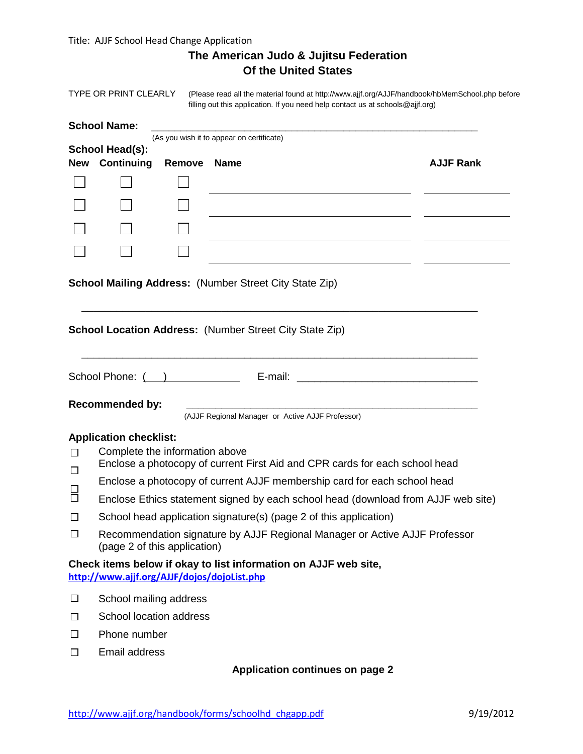Title: AJJF School Head Change Application

| The American Judo & Jujitsu Federation |
|----------------------------------------|
| <b>Of the United States</b>            |

TYPE OR PRINT CLEARLY (Please read all the material found at <http://www.ajjf.org/AJJF/handbook/hbMemSchool.php> before filling out this application. If you need help contact us at schools@ajjf.org)

#### School Name:

**School Head(s):**

(As you wish it to appear on certificate)

|              | New Continuing Remove Name |  | <b>AJJF Rank</b> |
|--------------|----------------------------|--|------------------|
| $\mathbf{L}$ |                            |  |                  |
| $\mathbf{I}$ |                            |  |                  |
| $\mathbf{L}$ |                            |  |                  |
| $\mathbf{L}$ |                            |  |                  |
|              |                            |  |                  |

\_\_\_\_\_\_\_\_\_\_\_\_\_\_\_\_\_\_\_\_\_\_\_\_\_\_\_\_\_\_\_\_\_\_\_\_\_\_\_\_\_\_\_\_\_\_\_\_\_\_\_\_\_\_\_\_\_\_\_\_\_\_\_\_\_\_\_\_

\_\_\_\_\_\_\_\_\_\_\_\_\_\_\_\_\_\_\_\_\_\_\_\_\_\_\_\_\_\_\_\_\_\_\_\_\_\_\_\_\_\_\_\_\_\_\_\_\_\_\_\_\_\_\_\_\_\_\_\_\_\_\_\_\_\_\_\_

### **School Mailing Address:** (Number Street City State Zip)

**School Location Address:** (Number Street City State Zip)

| School Phone: |  |
|---------------|--|
|               |  |

## $Recommenteded by:$

(AJJF Regional Manager or Active AJJF Professor)

#### **Application checklist:**

- Complete the information above  $\Box$
- Enclose a photocopy of current First Aid and CPR cards for each school head  $\Box$
- Enclose a photocopy of current AJJF membership card for each school head
- $\Box$ Enclose Ethics statement signed by each school head (download from AJJF web site)
- $\Box$ School head application signature(s) (page 2 of this application)
- $\Box$ Recommendation signature by AJJF Regional Manager or Active AJJF Professor (page 2 of this application)

### **Check items below if okay to list information on AJJF web site, <http://www.ajjf.org/AJJF/dojos/dojoList.php>**

- $\Box$ School mailing address
- $\Box$ School location address
- $\Box$ Phone number
- Email address  $\Box$

### **Application continues on page 2**